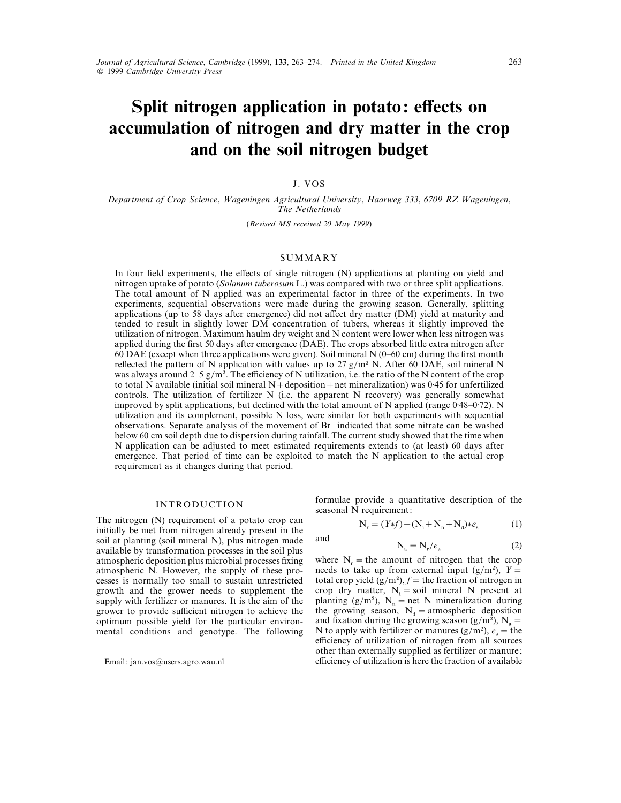# **Split nitrogen application in potato: effects on accumulation of nitrogen and dry matter in the crop and on the soil nitrogen budget**

## J. VOS

*Department of Crop Science*, *Wageningen Agricultural University*, *Haarweg 333*, *6709 RZ Wageningen*, *The Netherlands*

(*Revised MS received 20 May 1999*)

## SUMMARY

In four field experiments, the effects of single nitrogen (N) applications at planting on yield and nitrogen uptake of potato (*Solanum tuberosum* L.) was compared with two or three split applications. The total amount of N applied was an experimental factor in three of the experiments. In two experiments, sequential observations were made during the growing season. Generally, splitting applications (up to 58 days after emergence) did not affect dry matter (DM) yield at maturity and tended to result in slightly lower DM concentration of tubers, whereas it slightly improved the utilization of nitrogen. Maximum haulm dry weight and N content were lower when less nitrogen was applied during the first 50 days after emergence (DAE). The crops absorbed little extra nitrogen after 60 DAE (except when three applications were given). Soil mineral N (0–60 cm) during the first month reflected the pattern of N application with values up to 27 g/m<sup>2</sup> N. After 60 DAE, soil mineral N was always around 2–5  $g/m^2$ . The efficiency of N utilization, i.e. the ratio of the N content of the crop to total N available (initial soil mineral  $N$  + deposition + net mineralization) was 0.45 for unfertilized controls. The utilization of fertilizer N (i.e. the apparent N recovery) was generally somewhat improved by split applications, but declined with the total amount of N applied (range  $0.48-0.72$ ). N utilization and its complement, possible N loss, were similar for both experiments with sequential observations. Separate analysis of the movement of Br− indicated that some nitrate can be washed below 60 cm soil depth due to dispersion during rainfall. The current study showed that the time when N application can be adjusted to meet estimated requirements extends to (at least) 60 days after emergence. That period of time can be exploited to match the N application to the actual crop requirement as it changes during that period.

and

## INTRODUCTION

The nitrogen (N) requirement of a potato crop can initially be met from nitrogen already present in the soil at planting (soil mineral N), plus nitrogen made available by transformation processes in the soil plus atmospheric deposition plus microbial processes fixing atmospheric N. However, the supply of these processes is normally too small to sustain unrestricted growth and the grower needs to supplement the supply with fertilizer or manures. It is the aim of the grower to provide sufficient nitrogen to achieve the optimum possible yield for the particular environmental conditions and genotype. The following

Email: jan.vos@users.agro.wau.nl

formulae provide a quantitative description of the seasonal N requirement:

$$
N_r = (Y * f) - (N_i + N_n + N_d) * e_s \tag{1}
$$

$$
f_{\rm{max}}
$$

$$
N_a = N_r / e_a \tag{2}
$$

where  $N_r$  = the amount of nitrogen that the crop needs to take up from external input  $(g/m^2)$ , *Y* = total crop yield  $(g/m^2)$ ,  $f$  = the fraction of nitrogen in crop dry matter,  $N_i$  = soil mineral N present at planting (g/m<sup>2</sup>), N<sub>n</sub> = net N mineralization during the growing season,  $N_d =$ atmospheric deposition and fixation during the growing season (g/m<sup>2</sup>), N<sub>a</sub> = and invation during the growing season (g/m<sup>2</sup>),  $e_s$  = the<br>N to apply with fertilizer or manures (g/m<sup>2</sup>),  $e_s$  = the efficiency of utilization of nitrogen from all sources other than externally supplied as fertilizer or manure; efficiency of utilization is here the fraction of available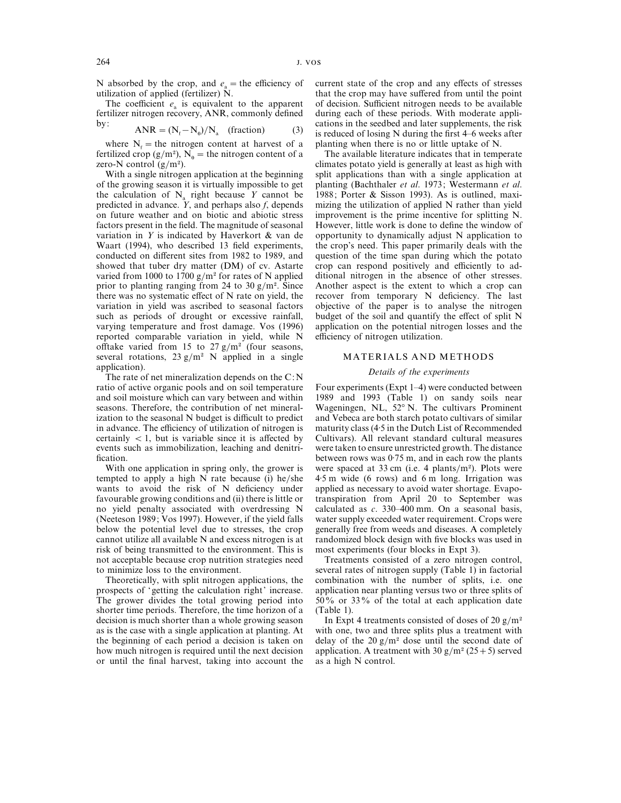N absorbed by the crop, and  $e_a$  = the efficiency of utilization of applied (fertilizer) N.

The coefficient  $e_a$  is equivalent to the apparent fertilizer nitrogen recovery, ANR, commonly defined

by: 
$$
ANR = (N_r - N_0)/N_a
$$
 (fraction) (3)

where  $N_f$  = the nitrogen content at harvest of a where  $N_f$  = the nitrogen content at narvest or a fertilized crop (g/m<sup>2</sup>),  $N_0$  = the nitrogen content of a zero-N control  $(g/m^2)$ .

With a single nitrogen application at the beginning of the growing season it is virtually impossible to get the calculation of  $N_a$  right because  $Y$  cannot be predicted in advance. *Y*, and perhaps also *f*, depends on future weather and on biotic and abiotic stress factors present in the field. The magnitude of seasonal variation in *Y* is indicated by Haverkort & van de Waart (1994), who described 13 field experiments, conducted on different sites from 1982 to 1989, and showed that tuber dry matter (DM) of cv. Astarte varied from 1000 to 1700  $g/m^2$  for rates of N applied prior to planting ranging from 24 to 30 g/m<sup>2</sup>. Since there was no systematic effect of N rate on yield, the variation in yield was ascribed to seasonal factors such as periods of drought or excessive rainfall, varying temperature and frost damage. Vos (1996) reported comparable variation in yield, while N offtake varied from 15 to  $27 \frac{\text{g}}{\text{m}^2}$  (four seasons, several rotations,  $23 \text{ g/m}^2$  N applied in a single application).

The rate of net mineralization depends on the C:N ratio of active organic pools and on soil temperature and soil moisture which can vary between and within seasons. Therefore, the contribution of net mineralization to the seasonal N budget is difficult to predict in advance. The efficiency of utilization of nitrogen is certainly  $\langle 1$ , but is variable since it is affected by events such as immobilization, leaching and denitrification.

With one application in spring only, the grower is tempted to apply a high  $N$  rate because (i) he/she wants to avoid the risk of N deficiency under favourable growing conditions and (ii) there is little or no yield penalty associated with overdressing N (Neeteson 1989; Vos 1997). However, if the yield falls below the potential level due to stresses, the crop cannot utilize all available N and excess nitrogen is at risk of being transmitted to the environment. This is not acceptable because crop nutrition strategies need to minimize loss to the environment.

Theoretically, with split nitrogen applications, the prospects of ' getting the calculation right' increase. The grower divides the total growing period into shorter time periods. Therefore, the time horizon of a decision is much shorter than a whole growing season as is the case with a single application at planting. At the beginning of each period a decision is taken on how much nitrogen is required until the next decision or until the final harvest, taking into account the current state of the crop and any effects of stresses that the crop may have suffered from until the point of decision. Sufficient nitrogen needs to be available during each of these periods. With moderate applications in the seedbed and later supplements, the risk is reduced of losing N during the first 4–6 weeks after planting when there is no or little uptake of N.

The available literature indicates that in temperate climates potato yield is generally at least as high with split applications than with a single application at planting (Bachthaler *et al*. 1973; Westermann *et al*. 1988; Porter & Sisson 1993). As is outlined, maximizing the utilization of applied N rather than yield improvement is the prime incentive for splitting N. However, little work is done to define the window of opportunity to dynamically adjust N application to the crop's need. This paper primarily deals with the question of the time span during which the potato crop can respond positively and efficiently to additional nitrogen in the absence of other stresses. Another aspect is the extent to which a crop can recover from temporary N deficiency. The last objective of the paper is to analyse the nitrogen budget of the soil and quantify the effect of split N application on the potential nitrogen losses and the efficiency of nitrogen utilization.

## MATERIALS AND METHODS

#### *Details of the experiments*

Four experiments (Expt 1–4) were conducted between 1989 and 1993 (Table 1) on sandy soils near Wageningen, NL, 52° N. The cultivars Prominent and Vebeca are both starch potato cultivars of similar maturity class (4±5 in the Dutch List of Recommended Cultivars). All relevant standard cultural measures were taken to ensure unrestricted growth. The distance between rows was  $0.75$  m, and in each row the plants were spaced at 33 cm (i.e. 4 plants/ $m<sup>2</sup>$ ). Plots were 4±5 m wide (6 rows) and 6 m long. Irrigation was applied as necessary to avoid water shortage. Evapotranspiration from April 20 to September was calculated as *c*. 330–400 mm. On a seasonal basis, water supply exceeded water requirement. Crops were generally free from weeds and diseases. A completely randomized block design with five blocks was used in most experiments (four blocks in Expt 3).

Treatments consisted of a zero nitrogen control, several rates of nitrogen supply (Table 1) in factorial combination with the number of splits, i.e. one application near planting versus two or three splits of 50% or 33% of the total at each application date (Table 1).

In Expt 4 treatments consisted of doses of 20 g/m<sup>2</sup> with one, two and three splits plus a treatment with delay of the  $20 g/m^2$  dose until the second date of application. A treatment with 30 g/m<sup>2</sup> (25+5) served as a high N control.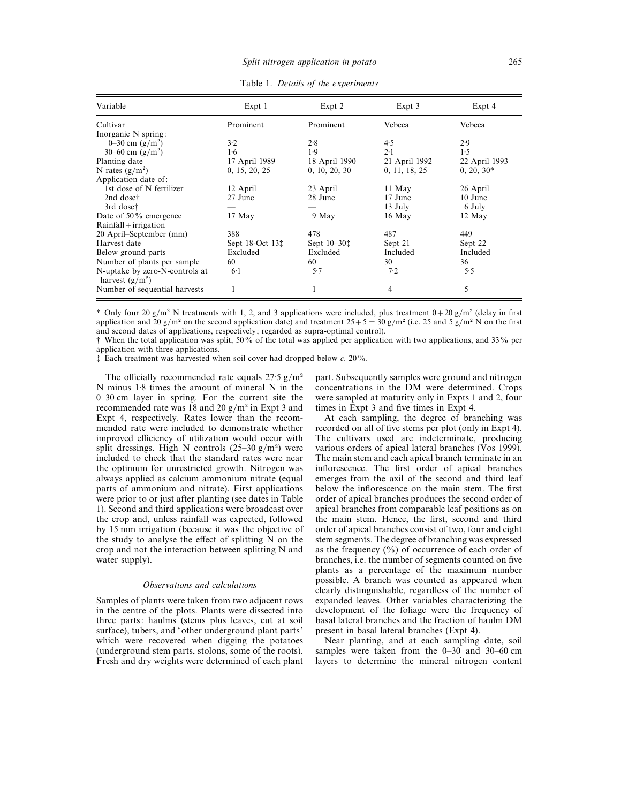| Variable                                            | Expt 1          | Expt 2        | Expt 3        | Expt 4        |
|-----------------------------------------------------|-----------------|---------------|---------------|---------------|
| Cultivar                                            | Prominent       | Prominent     | Vebeca        | Vebeca        |
| Inorganic N spring:                                 |                 |               |               |               |
| 0–30 cm $(g/m^2)$                                   | 3.2             | 2.8           | 4.5           | 2.9           |
| 30–60 cm $(g/m^2)$                                  | 1.6             | 1.9           | $2 \cdot 1$   | 1.5           |
| Planting date                                       | 17 April 1989   | 18 April 1990 | 21 April 1992 | 22 April 1993 |
| N rates $(g/m^2)$                                   | 0, 15, 20, 25   | 0, 10, 20, 30 | 0, 11, 18, 25 | $0, 20, 30*$  |
| Application date of:                                |                 |               |               |               |
| 1st dose of N fertilizer                            | 12 April        | 23 April      | 11 May        | 26 April      |
| 2nd doset                                           | 27 June         | 28 June       | 17 June       | 10 June       |
| 3rd doset                                           |                 |               | 13 July       | 6 July        |
| Date of 50% emergence                               | 17 May          | 9 May         | 16 May        | 12 May        |
| $Rainfall + irrigation$                             |                 |               |               |               |
| 20 April–September (mm)                             | 388             | 478           | 487           | 449           |
| Harvest date                                        | Sept 18-Oct 13: | Sept $10-30t$ | Sept 21       | Sept 22       |
| Below ground parts                                  | Excluded        | Excluded      | Included      | Included      |
| Number of plants per sample                         | 60              | 60            | 30            | 36            |
| N-uptake by zero-N-controls at<br>harvest $(g/m^2)$ | $6-1$           | 5.7           | 7.2           | 5.5           |
| Number of sequential harvests                       |                 | 1             | 4             | 5             |

Table 1. *Details of the experiments*

\* Only four 20 g/m<sup>2</sup> N treatments with 1, 2, and 3 applications were included, plus treatment  $0+20$  g/m<sup>2</sup> (delay in first application and 20 g/m<sup>2</sup> on the second application date) and treatment  $25 + 5 = 30$  g/m<sup>2</sup> (i.e. 25 and 5 g/m<sup>2</sup> N on the first and second dates of applications, respectively; regarded as supra-optimal control).

† When the total application was split, 50% of the total was applied per application with two applications, and 33% per application with three applications.

‡ Each treatment was harvested when soil cover had dropped below *c*. 20%.

The officially recommended rate equals  $27.5 \text{ g/m}^2$ N minus 1±8 times the amount of mineral N in the 0–30 cm layer in spring. For the current site the recommended rate was 18 and 20  $g/m^2$  in Expt 3 and Expt 4, respectively. Rates lower than the recommended rate were included to demonstrate whether improved efficiency of utilization would occur with split dressings. High N controls  $(25-30 g/m^2)$  were included to check that the standard rates were near the optimum for unrestricted growth. Nitrogen was always applied as calcium ammonium nitrate (equal parts of ammonium and nitrate). First applications were prior to or just after planting (see dates in Table 1). Second and third applications were broadcast over the crop and, unless rainfall was expected, followed by 15 mm irrigation (because it was the objective of the study to analyse the effect of splitting N on the crop and not the interaction between splitting N and water supply).

#### *Observations and calculations*

Samples of plants were taken from two adjacent rows in the centre of the plots. Plants were dissected into three parts: haulms (stems plus leaves, cut at soil surface), tubers, and 'other underground plant parts' which were recovered when digging the potatoes (underground stem parts, stolons, some of the roots). Fresh and dry weights were determined of each plant

part. Subsequently samples were ground and nitrogen concentrations in the DM were determined. Crops were sampled at maturity only in Expts 1 and 2, four times in Expt 3 and five times in Expt 4.

At each sampling, the degree of branching was recorded on all of five stems per plot (only in Expt 4). The cultivars used are indeterminate, producing various orders of apical lateral branches (Vos 1999). The main stem and each apical branch terminate in an inflorescence. The first order of apical branches emerges from the axil of the second and third leaf below the inflorescence on the main stem. The first order of apical branches produces the second order of apical branches from comparable leaf positions as on the main stem. Hence, the first, second and third order of apical branches consist of two, four and eight stem segments. The degree of branching was expressed as the frequency  $(\frac{0}{0})$  of occurrence of each order of branches, i.e. the number of segments counted on five plants as a percentage of the maximum number possible. A branch was counted as appeared when clearly distinguishable, regardless of the number of expanded leaves. Other variables characterizing the development of the foliage were the frequency of basal lateral branches and the fraction of haulm DM present in basal lateral branches (Expt 4).

Near planting, and at each sampling date, soil samples were taken from the 0–30 and 30–60 cm layers to determine the mineral nitrogen content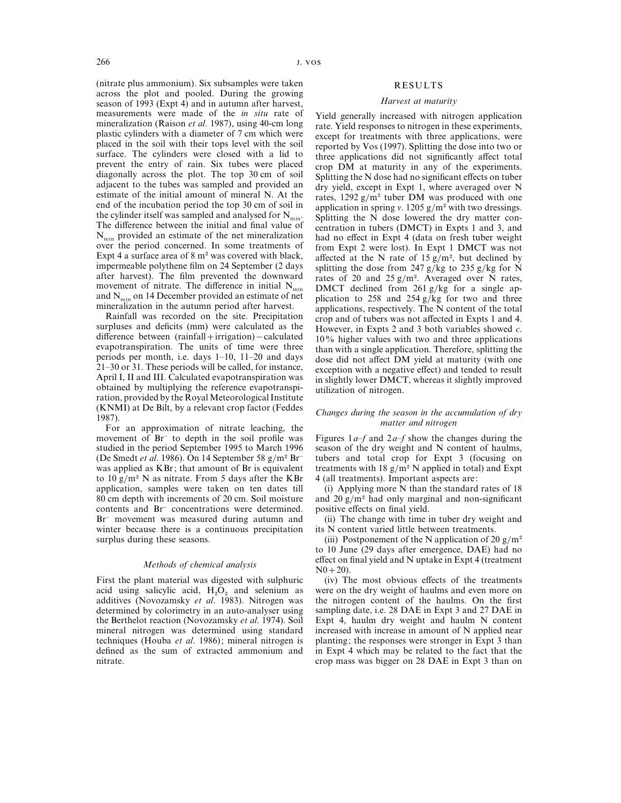(nitrate plus ammonium). Six subsamples were taken across the plot and pooled. During the growing season of 1993 (Expt 4) and in autumn after harvest, measurements were made of the *in situ* rate of mineralization (Raison *et al*. 1987), using 40-cm long plastic cylinders with a diameter of 7 cm which were placed in the soil with their tops level with the soil surface. The cylinders were closed with a lid to prevent the entry of rain. Six tubes were placed diagonally across the plot. The top 30 cm of soil adjacent to the tubes was sampled and provided an estimate of the initial amount of mineral N. At the end of the incubation period the top 30 cm of soil in the cylinder itself was sampled and analysed for  $N_{min}$ . The difference between the initial and final value of  $N_{\text{min}}$  provided an estimate of the net mineralization over the period concerned. In some treatments of Expt 4 a surface area of 8  $m<sup>2</sup>$  was covered with black, impermeable polythene film on 24 September (2 days after harvest). The film prevented the downward movement of nitrate. The difference in initial  $N_{min}$ and  $N_{\text{min}}$  on 14 December provided an estimate of net mineralization in the autumn period after harvest.

Rainfall was recorded on the site. Precipitation surpluses and deficits (mm) were calculated as the difference between  $(rainfall +irrigation) - calculated$ evapotranspiration. The units of time were three periods per month, i.e. days 1–10, 11–20 and days 21–30 or 31. These periods will be called, for instance, April I, II and III. Calculated evapotranspiration was obtained by multiplying the reference evapotranspiration, provided by the Royal Meteorological Institute (KNMI) at De Bilt, by a relevant crop factor (Feddes 1987).

For an approximation of nitrate leaching, the movement of Br− to depth in the soil profile was studied in the period September 1995 to March 1996 (De Smedt *et al.* 1986). On 14 September 58 g/m<sup>2</sup> Br<sup>−</sup> was applied as KBr; that amount of Br is equivalent to  $10 \text{ g/m}^2$  N as nitrate. From 5 days after the KBr application, samples were taken on ten dates till 80 cm depth with increments of 20 cm. Soil moisture contents and Br− concentrations were determined. Br<sup>−</sup> movement was measured during autumn and winter because there is a continuous precipitation surplus during these seasons.

#### *Methods of chemical analysis*

First the plant material was digested with sulphuric acid using salicylic acid,  $H_2O_2$  and selenium as additives (Novozamsky *et al*. 1983). Nitrogen was determined by colorimetry in an auto-analyser using the Berthelot reaction (Novozamsky *et al*. 1974). Soil mineral nitrogen was determined using standard techniques (Houba *et al*. 1986); mineral nitrogen is defined as the sum of extracted ammonium and nitrate.

### RESULTS

#### *Harvest at maturity*

Yield generally increased with nitrogen application rate. Yield responses to nitrogen in these experiments, except for treatments with three applications, were reported by Vos (1997). Splitting the dose into two or three applications did not significantly affect total crop DM at maturity in any of the experiments. Splitting the N dose had no significant effects on tuber dry yield, except in Expt 1, where averaged over N rates,  $1292 g/m^2$  tuber DM was produced with one application in spring  $v$ . 1205 g/m<sup>2</sup> with two dressings. Splitting the N dose lowered the dry matter concentration in tubers (DMCT) in Expts 1 and 3, and had no effect in Expt 4 (data on fresh tuber weight from Expt 2 were lost). In Expt 1 DMCT was not affected at the N rate of  $15 \text{ g/m}^2$ , but declined by splitting the dose from 247 g/kg to 235 g/kg for N rates of 20 and 25  $g/m^2$ . Averaged over N rates, DMCT declined from 261 g/kg for a single application to  $258$  and  $254$  g/kg for two and three applications, respectively. The N content of the total crop and of tubers was not affected in Expts 1 and 4. However, in Expts 2 and 3 both variables showed *c*. 10% higher values with two and three applications than with a single application. Therefore, splitting the dose did not affect DM yield at maturity (with one exception with a negative effect) and tended to result in slightly lower DMCT, whereas it slightly improved utilization of nitrogen.

#### *Changes during the season in the accumulation of dry matter and nitrogen*

Figures 1*a–f* and 2*a–f* show the changes during the season of the dry weight and N content of haulms, tubers and total crop for Expt 3 (focusing on treatments with 18  $g/m^2$  N applied in total) and Expt 4 (all treatments). Important aspects are:

(i) Applying more N than the standard rates of 18 and  $20 g/m^2$  had only marginal and non-significant positive effects on final yield.

(ii) The change with time in tuber dry weight and its N content varied little between treatments.

(iii) Postponement of the N application of 20 g/m<sup>2</sup> to 10 June (29 days after emergence, DAE) had no effect on final yield and N uptake in Expt 4 (treatment  $N(0+20)$ .

(iv) The most obvious effects of the treatments were on the dry weight of haulms and even more on the nitrogen content of the haulms. On the first sampling date, i.e. 28 DAE in Expt 3 and 27 DAE in Expt 4, haulm dry weight and haulm N content increased with increase in amount of N applied near planting; the responses were stronger in Expt 3 than in Expt 4 which may be related to the fact that the crop mass was bigger on 28 DAE in Expt 3 than on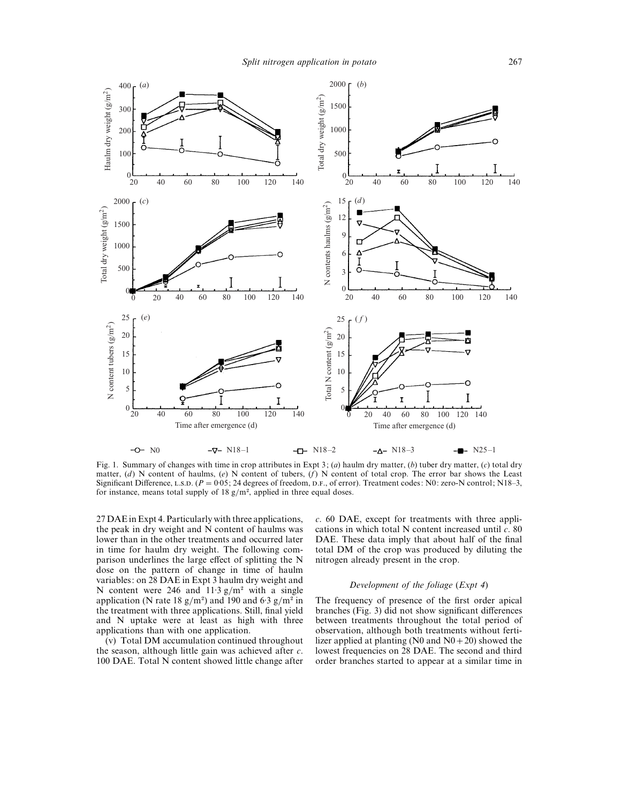

Fig. 1. Summary of changes with time in crop attributes in Expt 3; (*a*) haulm dry matter, (*b*) tuber dry matter, (*c*) total dry matter, (*d*) N content of haulms, (*e*) N content of tubers, (*f*) N content of total crop. The error bar shows the Least Significant Difference,  $r$ . s.p. ( $P = 0.05$ ; 24 degrees of freedom, p.f., of error). Treatment codes: N0: zero-N control; N18–3, for instance, means total supply of 18  $g/m^2$ , applied in three equal doses.

27 DAE in Expt 4. Particularly with three applications, the peak in dry weight and N content of haulms was lower than in the other treatments and occurred later in time for haulm dry weight. The following comparison underlines the large effect of splitting the N dose on the pattern of change in time of haulm variables: on 28 DAE in Expt 3 haulm dry weight and N content were 246 and  $11·3$  g/m<sup>2</sup> with a single application (N rate 18 g/m<sup>2</sup>) and 190 and 6.3 g/m<sup>2</sup> in the treatment with three applications. Still, final yield and N uptake were at least as high with three applications than with one application.

(v) Total DM accumulation continued throughout the season, although little gain was achieved after *c*. 100 DAE. Total N content showed little change after

*c*. 60 DAE, except for treatments with three applications in which total N content increased until *c*. 80 DAE. These data imply that about half of the final total DM of the crop was produced by diluting the nitrogen already present in the crop.

## *Development of the foliage* (*Expt 4*)

The frequency of presence of the first order apical branches (Fig. 3) did not show significant differences between treatments throughout the total period of observation, although both treatments without fertilizer applied at planting (N0 and  $N0+20$ ) showed the lowest frequencies on 28 DAE. The second and third order branches started to appear at a similar time in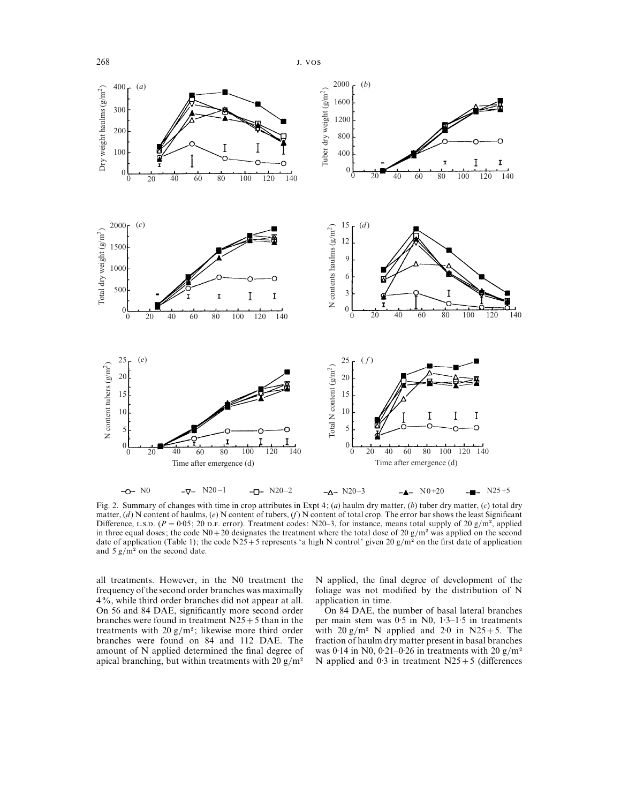

Fig. 2. Summary of changes with time in crop attributes in Expt 4; (*a*) haulm dry matter, (*b*) tuber dry matter, (*c*) total dry matter, (*d*) N content of haulms, (*e*) N content of tubers, (*f*) N content of total crop. The error bar shows the least Significant Difference, L.S.D. ( $P = 0.05$ ; 20 D.F. error). Treatment codes: N20–3, for instance, means total supply of 20 g/m<sup>2</sup>, applied in three equal doses; the code  $N0+20$  designates the treatment where the total dose of 20 g/m<sup>2</sup> was applied on the second date of application (Table 1); the code N25+5 represents 'a high N control' given 20 g/m<sup>2</sup> on the first date of application and  $5 g/m^2$  on the second date.

all treatments. However, in the N0 treatment the frequency of the second order branches was maximally 4%, while third order branches did not appear at all. On 56 and 84 DAE, significantly more second order branches were found in treatment  $N25+5$  than in the treatments with 20  $g/m^2$ ; likewise more third order branches were found on 84 and 112 DAE. The amount of N applied determined the final degree of apical branching, but within treatments with 20 g/m<sup>2</sup> N applied, the final degree of development of the foliage was not modified by the distribution of N application in time.

On 84 DAE, the number of basal lateral branches per main stem was  $0.5$  in N0,  $1.3-1.5$  in treatments with 20 g/m<sup>2</sup> N applied and 2 $\cdot$ 0 in N25+5. The fraction of haulm dry matter present in basal branches was 0.14 in N0, 0.21–0.26 in treatments with 20 g/m<sup>2</sup> N applied and  $0.3$  in treatment N25+5 (differences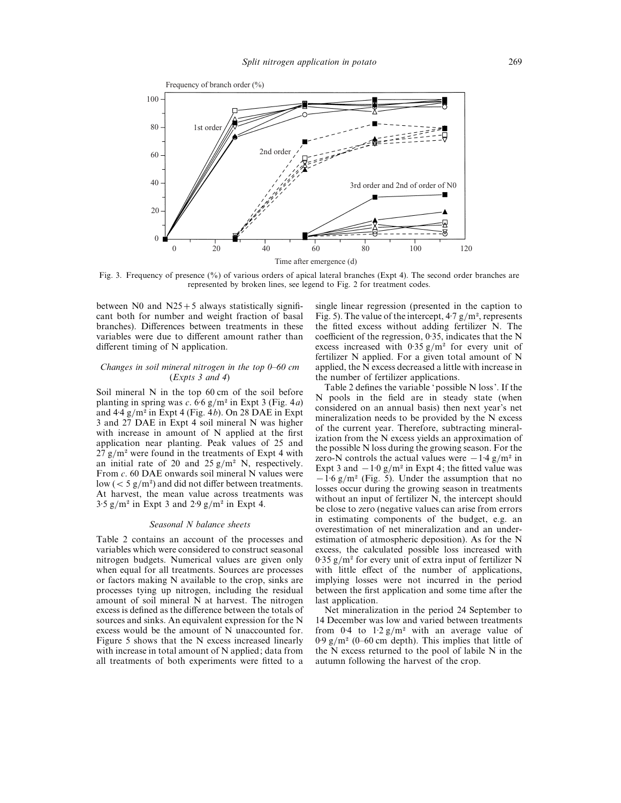

Fig. 3. Frequency of presence (%) of various orders of apical lateral branches (Expt 4). The second order branches are represented by broken lines, see legend to Fig. 2 for treatment codes.

between  $N0$  and  $N25+5$  always statistically significant both for number and weight fraction of basal branches). Differences between treatments in these variables were due to different amount rather than different timing of N application.

## *Changes in soil mineral nitrogen in the top 0–60 cm* (*Expts 3 and 4*)

Soil mineral N in the top 60 cm of the soil before planting in spring was  $c. 6.6$  g/m<sup>2</sup> in Expt 3 (Fig. 4*a*) and  $4.4$  g/m<sup>2</sup> in Expt 4 (Fig. 4*b*). On 28 DAE in Expt 3 and 27 DAE in Expt 4 soil mineral N was higher with increase in amount of N applied at the first application near planting. Peak values of 25 and  $27 g/m^2$  were found in the treatments of Expt 4 with an initial rate of 20 and  $25 \text{ g/m}^2$  N, respectively. From *c*. 60 DAE onwards soil mineral N values were low ( $\rm < 5 g/m<sup>2</sup>$ ) and did not differ between treatments. At harvest, the mean value across treatments was  $3.5$  g/m<sup>2</sup> in Expt 3 and  $2.9$  g/m<sup>2</sup> in Expt 4.

#### *Seasonal N balance sheets*

Table 2 contains an account of the processes and variables which were considered to construct seasonal nitrogen budgets. Numerical values are given only when equal for all treatments. Sources are processes or factors making N available to the crop, sinks are processes tying up nitrogen, including the residual amount of soil mineral N at harvest. The nitrogen excess is defined as the difference between the totals of sources and sinks. An equivalent expression for the N excess would be the amount of N unaccounted for. Figure 5 shows that the N excess increased linearly with increase in total amount of N applied; data from all treatments of both experiments were fitted to a

single linear regression (presented in the caption to Fig. 5). The value of the intercept,  $4.7 g/m^2$ , represents the fitted excess without adding fertilizer N. The coefficient of the regression,  $0.35$ , indicates that the N excess increased with  $0.35$  g/m<sup>2</sup> for every unit of fertilizer N applied. For a given total amount of N applied, the N excess decreased a little with increase in the number of fertilizer applications.

Table 2 defines the variable 'possible N loss'. If the N pools in the field are in steady state (when considered on an annual basis) then next year's net mineralization needs to be provided by the N excess of the current year. Therefore, subtracting mineralization from the N excess yields an approximation of the possible N loss during the growing season. For the zero-N controls the actual values were  $-1.4$  g/m<sup>2</sup> in Expt 3 and  $-1.0$  g/m<sup>2</sup> in Expt 4; the fitted value was  $-1.6$  g/m<sup>2</sup> (Fig. 5). Under the assumption that no losses occur during the growing season in treatments without an input of fertilizer N, the intercept should be close to zero (negative values can arise from errors in estimating components of the budget, e.g. an overestimation of net mineralization and an underestimation of atmospheric deposition). As for the N excess, the calculated possible loss increased with  $0.35$  g/m<sup>2</sup> for every unit of extra input of fertilizer N with little effect of the number of applications, implying losses were not incurred in the period between the first application and some time after the last application.

Net mineralization in the period 24 September to 14 December was low and varied between treatments from 0.4 to  $1.2 \text{ g/m}^2$  with an average value of  $0.9 \text{ g/m}^2$  (0–60 cm depth). This implies that little of the N excess returned to the pool of labile N in the autumn following the harvest of the crop.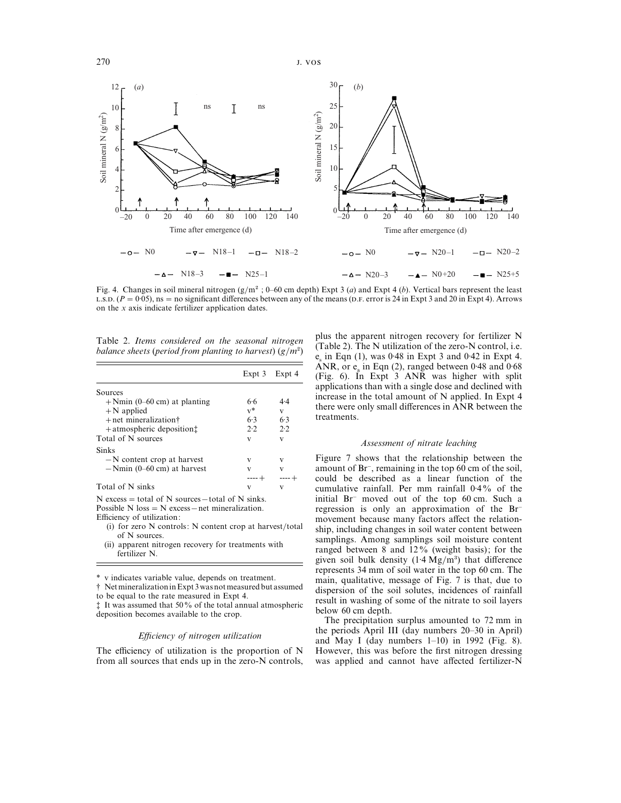270 **1. VOS** 



Fig. 4. Changes in soil mineral nitrogen  $(g/m^2$ ; 0–60 cm depth) Expt 3 (*a*) and Expt 4 (*b*). Vertical bars represent the least L.S.D.  $(P = 0.05)$ , ns = no significant differences between any of the means (D.F. error is 24 in Expt 3 and 20 in Expt 4). Arrows on the *x* axis indicate fertilizer application dates.

Table 2. *Items considered on the seasonal nitrogen balance sheets* (*period from planting to harvest*)  $(g/m^2)$ 

|                                                                                                         |        | Expt 3 Expt 4 |
|---------------------------------------------------------------------------------------------------------|--------|---------------|
| Sources                                                                                                 |        |               |
| $+$ Nmin (0–60 cm) at planting                                                                          | 6.6    | 4.4           |
| $+$ N applied                                                                                           | $v^*$  | V             |
| $+$ net mineralization <sup>†</sup>                                                                     | 6.3    | 6.3           |
| + atmospheric deposition:                                                                               | 2.2    | 2.2           |
| Total of N sources                                                                                      | v      | V             |
| <b>Sinks</b>                                                                                            |        |               |
| $-N$ content crop at harvest                                                                            | v      | V             |
| $-$ Nmin (0–60 cm) at harvest                                                                           | v      | V             |
|                                                                                                         | ---- + | $--- +$       |
| Total of N sinks                                                                                        | v      | V             |
| N excess = total of N sources – total of N sinks.<br>Possible N $loss = N$ excess – net mineralization. |        |               |

Efficiency of utilization:

(i) for zero  $N$  controls:  $N$  content crop at harvest/total of N sources.

(ii) apparent nitrogen recovery for treatments with fertilizer N.

\* v indicates variable value, depends on treatment.

† NetmineralizationinExpt 3 was notmeasured but assumed to be equal to the rate measured in Expt 4.

‡ It was assumed that 50% of the total annual atmospheric deposition becomes available to the crop.

#### *Efficiency of nitrogen utilization*

The efficiency of utilization is the proportion of N from all sources that ends up in the zero-N controls,

plus the apparent nitrogen recovery for fertilizer N (Table 2). The N utilization of the zero-N control, i.e.  $e_s$  in Eqn (1), was 0.48 in Expt 3 and 0.42 in Expt 4. ANR, or  $e_a$  in Eqn (2), ranged between 0.48 and 0.68 (Fig. 6). In Expt 3 ANR was higher with split applications than with a single dose and declined with increase in the total amount of N applied. In Expt 4 there were only small differences in ANR between the treatments.

#### *Assessment of nitrate leaching*

Figure 7 shows that the relationship between the amount of Br−, remaining in the top 60 cm of the soil, could be described as a linear function of the cumulative rainfall. Per mm rainfall 0±4% of the initial Br− moved out of the top 60 cm. Such a regression is only an approximation of the Br− movement because many factors affect the relationship, including changes in soil water content between samplings. Among samplings soil moisture content ranged between 8 and 12% (weight basis); for the given soil bulk density  $(1.4 \text{ Mg/m}^3)$  that difference represents 34 mm of soil water in the top 60 cm. The main, qualitative, message of Fig. 7 is that, due to dispersion of the soil solutes, incidences of rainfall result in washing of some of the nitrate to soil layers below 60 cm depth.

The precipitation surplus amounted to 72 mm in the periods April III (day numbers 20–30 in April) and May I (day numbers 1–10) in 1992 (Fig. 8). However, this was before the first nitrogen dressing was applied and cannot have affected fertilizer-N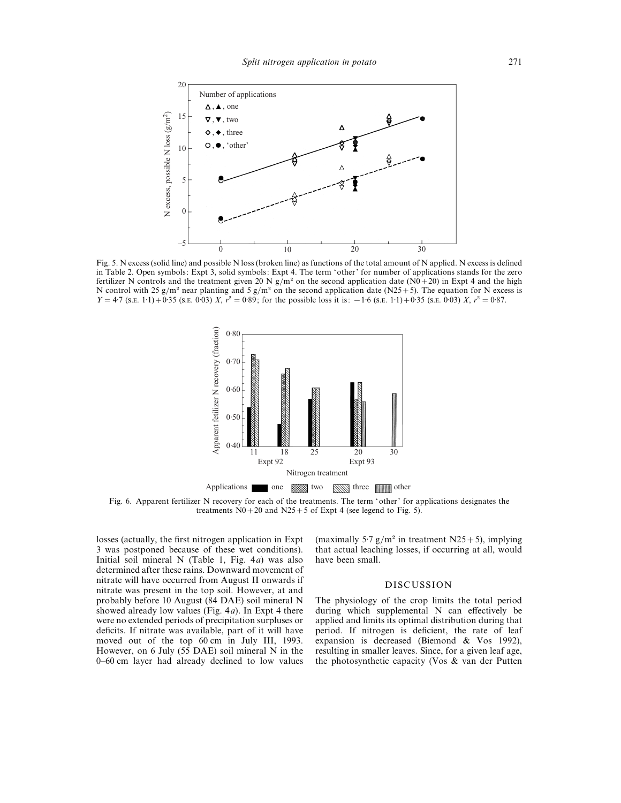

Fig. 5. N excess (solid line) and possible N loss (broken line) as functions of the total amount of N applied. N excess is defined in Table 2. Open symbols: Expt 3, solid symbols: Expt 4. The term 'other' for number of applications stands for the zero fertilizer N controls and the treatment given 20 N g/m<sup>2</sup> on the second application date (N0+20) in Expt 4 and the high N control with 25 g/m<sup>2</sup> near planting and 5 g/m<sup>2</sup> on the second application date (N25+5). The equation for N excess is  $Y = 4.7$  (s. e. 1.1) + 0.35 (s. e. 0.03) *X*,  $\vec{r}^2 = 0.89$ ; for the possible loss it is:  $-1.6$  (s. e. 1.1) + 0.35 (s. e. 0.03) *X*,  $\vec{r}^2 = 0.87$ .



Fig. 6. Apparent fertilizer N recovery for each of the treatments. The term 'other' for applications designates the treatments  $N0+20$  and  $N25+5$  of Expt 4 (see legend to Fig. 5).

losses (actually, the first nitrogen application in Expt 3 was postponed because of these wet conditions). Initial soil mineral N (Table 1, Fig. 4*a*) was also determined after these rains. Downward movement of nitrate will have occurred from August II onwards if nitrate was present in the top soil. However, at and probably before 10 August (84 DAE) soil mineral N showed already low values (Fig. 4*a*). In Expt 4 there were no extended periods of precipitation surpluses or deficits. If nitrate was available, part of it will have moved out of the top 60 cm in July III, 1993. However, on 6 July (55 DAE) soil mineral N in the 0–60 cm layer had already declined to low values (maximally  $5.7$  g/m<sup>2</sup> in treatment N25+5), implying that actual leaching losses, if occurring at all, would have been small.

#### DISCUSSION

The physiology of the crop limits the total period during which supplemental N can effectively be applied and limits its optimal distribution during that period. If nitrogen is deficient, the rate of leaf expansion is decreased (Biemond & Vos 1992), resulting in smaller leaves. Since, for a given leaf age, the photosynthetic capacity (Vos & van der Putten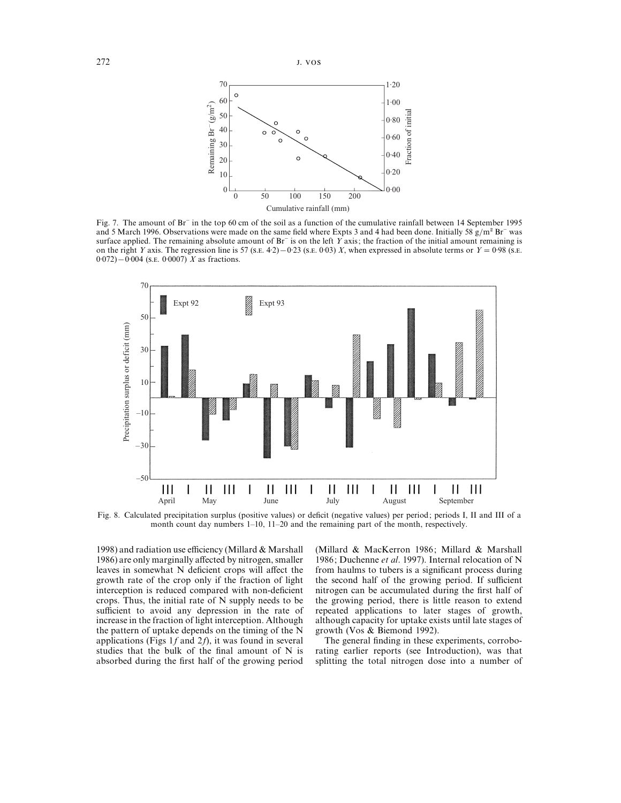

Fig. 7. The amount of Br− in the top 60 cm of the soil as a function of the cumulative rainfall between 14 September 1995 and 5 March 1996. Observations were made on the same field where Expts 3 and 4 had been done. Initially 58  $g/m^2$  Br<sup>−</sup> was surface applied. The remaining absolute amount of Br− is on the left *Y* axis; the fraction of the initial amount remaining is on the right *Y* axis. The regression line is 57 (s.e. 4-2) $-0.23$  (s.e. 0.03) *X*, when expressed in absolute terms or  $Y = 0.98$  (s.e.  $0.072$ ) $-0.004$  (s. e. 0.0007) *X* as fractions.



Fig. 8. Calculated precipitation surplus (positive values) or deficit (negative values) per period; periods I, II and III of a month count day numbers 1–10, 11–20 and the remaining part of the month, respectively.

1998) and radiation use efficiency (Millard & Marshall 1986) are only marginally affected by nitrogen, smaller leaves in somewhat N deficient crops will affect the growth rate of the crop only if the fraction of light interception is reduced compared with non-deficient crops. Thus, the initial rate of N supply needs to be sufficient to avoid any depression in the rate of increase in the fraction of light interception. Although the pattern of uptake depends on the timing of the N applications (Figs 1*f* and 2*f*), it was found in several studies that the bulk of the final amount of N is absorbed during the first half of the growing period

(Millard & MacKerron 1986; Millard & Marshall 1986; Duchenne *et al*. 1997). Internal relocation of N from haulms to tubers is a significant process during the second half of the growing period. If sufficient nitrogen can be accumulated during the first half of the growing period, there is little reason to extend repeated applications to later stages of growth, although capacity for uptake exists until late stages of growth (Vos & Biemond 1992).

The general finding in these experiments, corroborating earlier reports (see Introduction), was that splitting the total nitrogen dose into a number of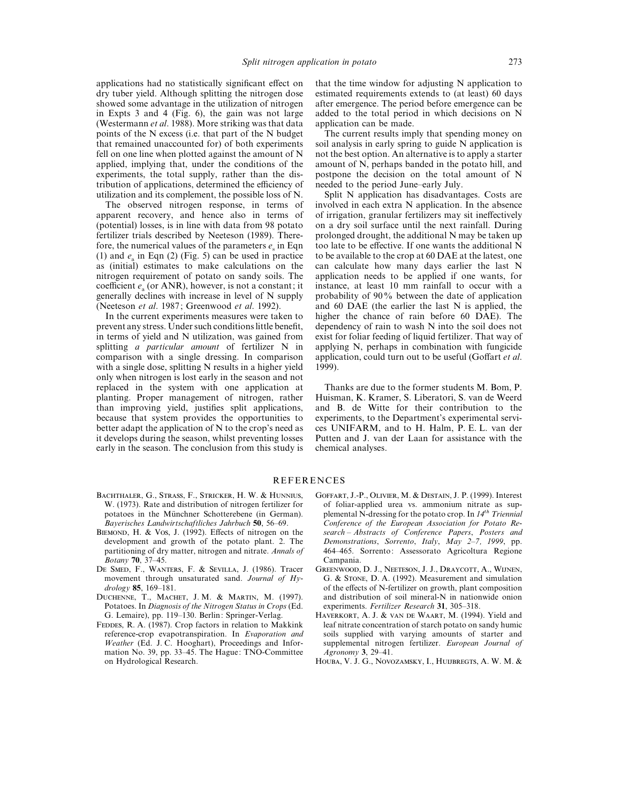applications had no statistically significant effect on dry tuber yield. Although splitting the nitrogen dose showed some advantage in the utilization of nitrogen in Expts 3 and 4 (Fig. 6), the gain was not large (Westermann *et al*. 1988). More striking was that data points of the N excess (i.e. that part of the N budget that remained unaccounted for) of both experiments fell on one line when plotted against the amount of N applied, implying that, under the conditions of the experiments, the total supply, rather than the distribution of applications, determined the efficiency of utilization and its complement, the possible loss of N.

The observed nitrogen response, in terms of apparent recovery, and hence also in terms of (potential) losses, is in line with data from 98 potato fertilizer trials described by Neeteson (1989). Therefore, the numerical values of the parameters  $e_s$  in Eqn (1) and  $e_a$  in Eqn (2) (Fig. 5) can be used in practice as (initial) estimates to make calculations on the nitrogen requirement of potato on sandy soils. The coefficient  $e_a$  (or ANR), however, is not a constant; it generally declines with increase in level of N supply (Neeteson *et al*. 1987; Greenwood *et al*. 1992).

In the current experiments measures were taken to prevent any stress. Under such conditions little benefit, in terms of yield and N utilization, was gained from splitting *a particular amount* of fertilizer N in comparison with a single dressing. In comparison with a single dose, splitting N results in a higher yield only when nitrogen is lost early in the season and not replaced in the system with one application at planting. Proper management of nitrogen, rather than improving yield, justifies split applications, because that system provides the opportunities to better adapt the application of N to the crop's need as it develops during the season, whilst preventing losses early in the season. The conclusion from this study is

that the time window for adjusting N application to estimated requirements extends to (at least) 60 days after emergence. The period before emergence can be added to the total period in which decisions on N application can be made.

The current results imply that spending money on soil analysis in early spring to guide N application is not the best option. An alternative is to apply a starter amount of N, perhaps banded in the potato hill, and postpone the decision on the total amount of N needed to the period June–early July.

Split N application has disadvantages. Costs are involved in each extra N application. In the absence of irrigation, granular fertilizers may sit ineffectively on a dry soil surface until the next rainfall. During prolonged drought, the additional N may be taken up too late to be effective. If one wants the additional N to be available to the crop at 60 DAE at the latest, one can calculate how many days earlier the last N application needs to be applied if one wants, for instance, at least 10 mm rainfall to occur with a probability of 90% between the date of application and 60 DAE (the earlier the last N is applied, the higher the chance of rain before 60 DAE). The dependency of rain to wash N into the soil does not exist for foliar feeding of liquid fertilizer. That way of applying N, perhaps in combination with fungicide application, could turn out to be useful (Goffart *et al*. 1999).

Thanks are due to the former students M. Bom, P. Huisman, K. Kramer, S. Liberatori, S. van de Weerd and B. de Witte for their contribution to the experiments, to the Department's experimental services UNIFARM, and to H. Halm, P. E. L. van der Putten and J. van der Laan for assistance with the chemical analyses.

#### **REFERENCES**

- BACHTHALER, G., STRASS, F., STRICKER, H. W. & HUNNIUS, W. (1973). Rate and distribution of nitrogen fertilizer for potatoes in the Münchner Schotterebene (in German). *Bayerisches Landwirtschaftliches Jahrbuch* **50**, 56–69.
- BIEMOND, H. & VOS, J. (1992). Effects of nitrogen on the development and growth of the potato plant. 2. The partitioning of dry matter, nitrogen and nitrate. *Annals of Botany* **70**, 37–45.
- DE SMED, F., WANTERS, F. & SEVILLA, J. (1986). Tracer movement through unsaturated sand. *Journal of Hydrology* **85**, 169–181.
- DUCHENNE, T., MACHET, J. M. & MARTIN, M. (1997). Potatoes. In *Diagnosis of the Nitrogen Status in Crops* (Ed. G. Lemaire), pp. 119–130. Berlin: Springer-Verlag.
- FEDDES, R. A. (1987). Crop factors in relation to Makkink reference-crop evapotranspiration. In *Evaporation and Weather* (Ed. J. C. Hooghart), Proceedings and Information No. 39, pp. 33–45. The Hague: TNO-Committee on Hydrological Research.
- GOFFART, J.-P., OLIVIER, M. & DESTAIN, J. P. (1999). Interest of foliar-applied urea vs. ammonium nitrate as supplemental N-dressing for the potato crop. In *14th Triennial Conference of the European Association for Potato Research – Abstracts of Conference Papers*, *Posters and Demonstrations*, *Sorrento*, *Italy*, *May 2–7, 1999*, pp. 464–465. Sorrento: Assessorato Agricoltura Regione Campania.
- GREENWOOD, D. J., NEETESON, J. J., DRAYCOTT, A., WIJNEN, G. & STONE, D. A. (1992). Measurement and simulation of the effects of N-fertilizer on growth, plant composition and distribution of soil mineral-N in nationwide onion experiments. *Fertilizer Research* **31**, 305–318.
- HAVERKORT, A. J. & VAN DE WAART, M. (1994). Yield and leaf nitrate concentration of starch potato on sandy humic soils supplied with varying amounts of starter and supplemental nitrogen fertilizer. *European Journal of Agronomy* **3**, 29–41.
- HOUBA, V. J. G., NOVOZAMSKY, I., HUIJBREGTS, A. W. M. &